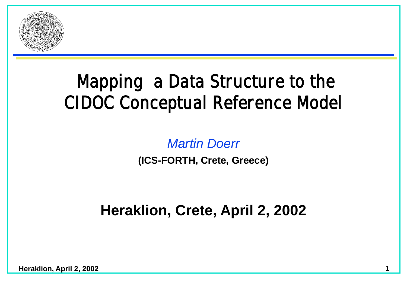

#### **Mapping a Data Structure to the CIDOC Conceptual Reference Model**

#### *Martin Doerr*

**(ICS-FORTH, Crete, Greece)**

#### **Heraklion, Crete, April 2, 2002**

**Heraklion, April 2, 2002**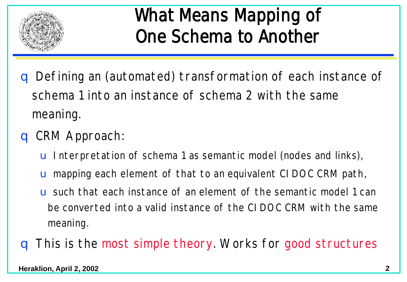

#### **What Means Mapping of One Schema to Another**

- q Defining an (automated) transformation of each instance of schema 1 into an instance of schema 2 with the same meaning.
- q CRM Approach:
	- u Interpretation of schema 1 as semantic model (nodes and links),
	- u mapping each element of that to an equivalent CIDOC CRM path,
	- u such that each instance of an element of the semantic model 1 can be converted into a valid instance of the CIDOC CRM with the same meaning.
- q This is the most simple theory. Works for good structures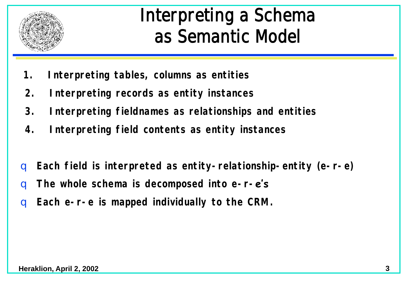

#### **Interpreting a Schema as Semantic Model**

- **1. Interpreting tables, columns as entities**
- **2. Interpreting records as entity instances**
- **3. Interpreting fieldnames as relationships and entities**
- **4. Interpreting field contents as entity instances**
- q **Each field is interpreted as entity-relationship-entity (e-r-e)**
- q **The whole schema is decomposed into e-r-e's**
- Each e-r-e is mapped individually to the CRM.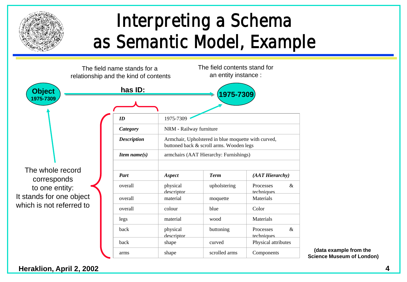

### **Interpreting a Schema as Semantic Model, Example**



**(data example from the Science Museum of London)**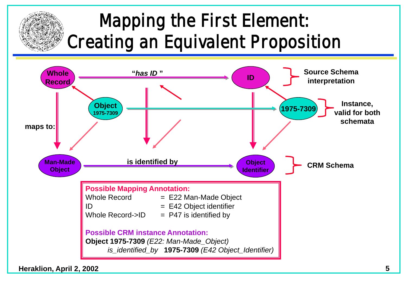### **Mapping the First Element: Creating an Equivalent Proposition**

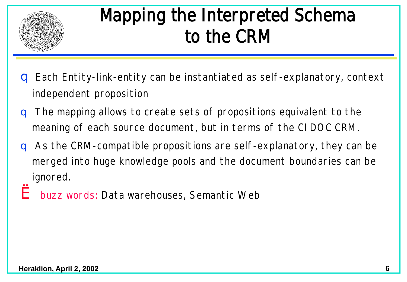

### **Mapping the Interpreted Schema to the CRM**

- q Each Entity-link-entity can be instantiated as self-explanatory, context independent proposition
- **q** The mapping allows to create sets of propositions equivalent to the meaning of each source document, but in terms of the CIDOC CRM.
- q As the CRM-compatible propositions are self-explanatory, they can be merged into huge knowledge pools and the document boundaries can be ignored.
- è buzz words: Data warehouses, Semantic Web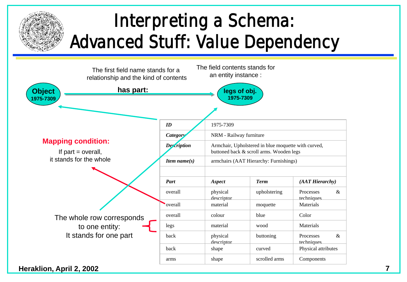### **Interpreting a Schema: Advanced Stuff: Value Dependency**

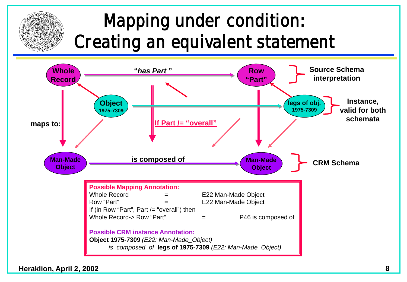# **Mapping under condition: Creating an equivalent statement**



**Heraklion, April 2, 2002 8**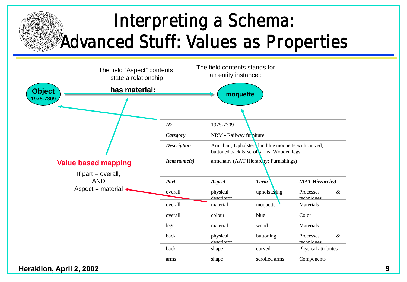#### **Interpreting a Schema: Advanced Stuff: Values as Properties**

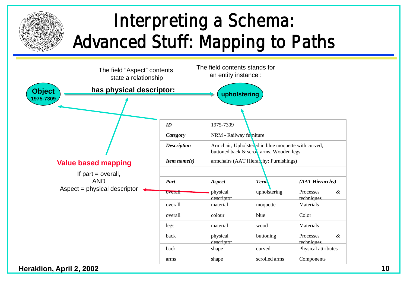# **Interpreting a Schema: Advanced Stuff: Mapping to Paths**

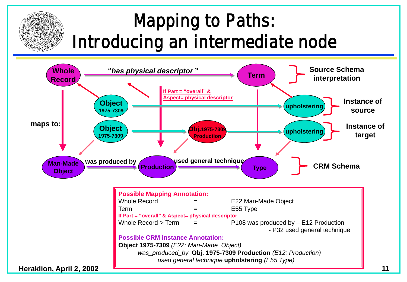### **Mapping to Paths: Introducing an intermediate node**

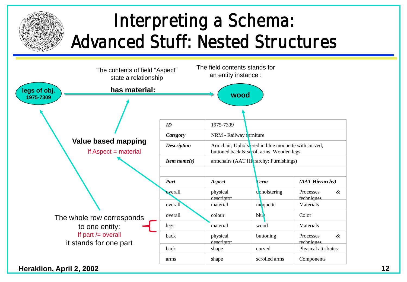### **Interpreting a Schema: Advanced Stuff: Nested Structures**

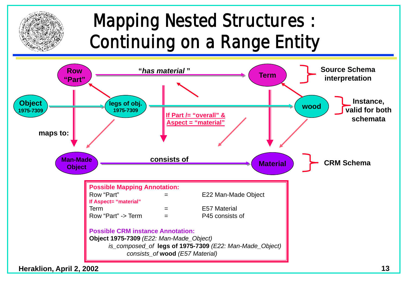### **Mapping Nested Structures : Continuing on a Range Entity**

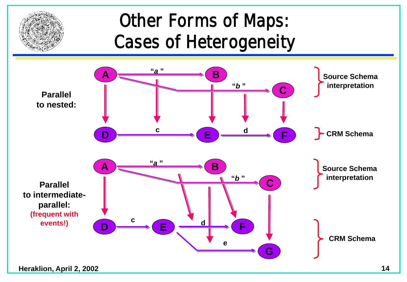

### **Other Forms of Maps: Cases of Heterogeneity**

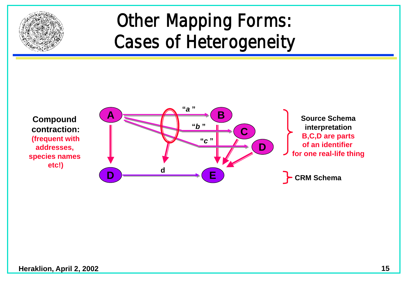

#### **Other Mapping Forms: Cases of Heterogeneity**

**contraction: (frequent with addresses, species names etc!)**